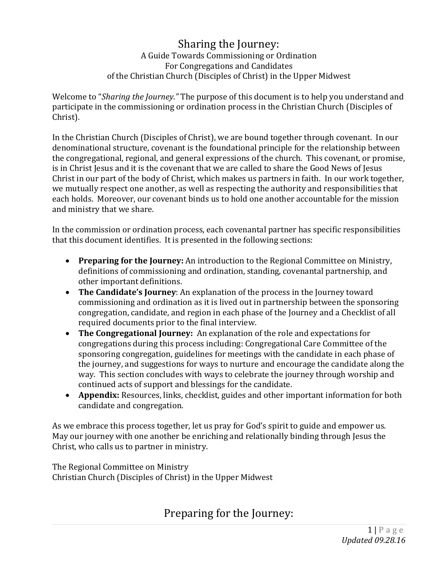#### Sharing the Journey: A Guide Towards Commissioning or Ordination For Congregations and Candidates of the Christian Church (Disciples of Christ) in the Upper Midwest

Welcome to "*Sharing the Journey."* The purpose of this document is to help you understand and participate in the commissioning or ordination process in the Christian Church (Disciples of Christ).

In the Christian Church (Disciples of Christ), we are bound together through covenant. In our denominational structure, covenant is the foundational principle for the relationship between the congregational, regional, and general expressions of the church. This covenant, or promise, is in Christ Jesus and it is the covenant that we are called to share the Good News of Jesus Christ in our part of the body of Christ, which makes us partners in faith. In our work together, we mutually respect one another, as well as respecting the authority and responsibilities that each holds. Moreover, our covenant binds us to hold one another accountable for the mission and ministry that we share.

In the commission or ordination process, each covenantal partner has specific responsibilities that this document identifies. It is presented in the following sections:

- **Preparing for the Journey:** An introduction to the Regional Committee on Ministry, definitions of commissioning and ordination, standing, covenantal partnership, and other important definitions.
- **The Candidate's Journey**: An explanation of the process in the Journey toward commissioning and ordination as it is lived out in partnership between the sponsoring congregation, candidate, and region in each phase of the Journey and a Checklist of all required documents prior to the final interview.
- **The Congregational Journey:** An explanation of the role and expectations for congregations during this process including: Congregational Care Committee of the sponsoring congregation, guidelines for meetings with the candidate in each phase of the journey, and suggestions for ways to nurture and encourage the candidate along the way. This section concludes with ways to celebrate the journey through worship and continued acts of support and blessings for the candidate.
- **Appendix:** Resources, links, checklist, guides and other important information for both candidate and congregation.

As we embrace this process together, let us pray for God's spirit to guide and empower us. May our journey with one another be enriching and relationally binding through Jesus the Christ, who calls us to partner in ministry.

The Regional Committee on Ministry Christian Church (Disciples of Christ) in the Upper Midwest

Preparing for the Journey: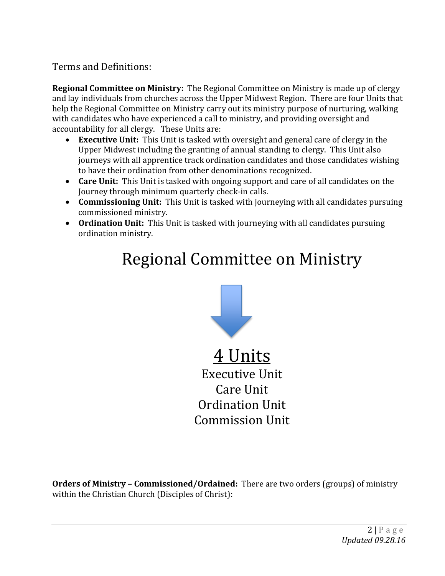## Terms and Definitions:

**Regional Committee on Ministry:** The Regional Committee on Ministry is made up of clergy and lay individuals from churches across the Upper Midwest Region. There are four Units that help the Regional Committee on Ministry carry out its ministry purpose of nurturing, walking with candidates who have experienced a call to ministry, and providing oversight and accountability for all clergy. These Units are:

- **Executive Unit:** This Unit is tasked with oversight and general care of clergy in the Upper Midwest including the granting of annual standing to clergy. This Unit also journeys with all apprentice track ordination candidates and those candidates wishing to have their ordination from other denominations recognized.
- **Care Unit:** This Unit is tasked with ongoing support and care of all candidates on the Journey through minimum quarterly check-in calls.
- **Commissioning Unit:** This Unit is tasked with journeying with all candidates pursuing commissioned ministry.
- **Ordination Unit:** This Unit is tasked with journeying with all candidates pursuing ordination ministry.

# Regional Committee on Ministry



4 Units Executive Unit Care Unit Ordination Unit Commission Unit

**Orders of Ministry – Commissioned/Ordained:** There are two orders (groups) of ministry within the Christian Church (Disciples of Christ):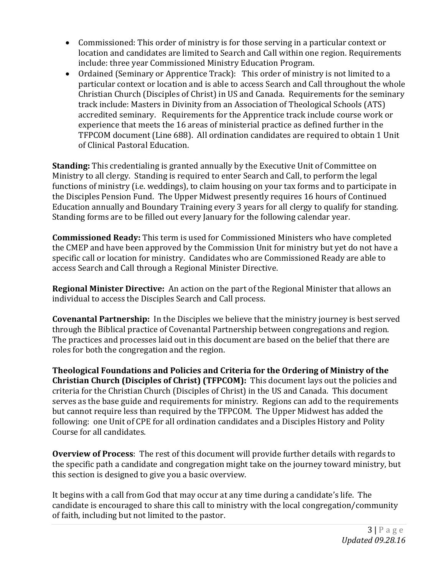- Commissioned: This order of ministry is for those serving in a particular context or location and candidates are limited to Search and Call within one region. Requirements include: three year Commissioned Ministry Education Program.
- Ordained (Seminary or Apprentice Track): This order of ministry is not limited to a particular context or location and is able to access Search and Call throughout the whole Christian Church (Disciples of Christ) in US and Canada. Requirements for the seminary track include: Masters in Divinity from an Association of Theological Schools (ATS) accredited seminary. Requirements for the Apprentice track include course work or experience that meets the 16 areas of ministerial practice as defined further in the TFPCOM document (Line 688). All ordination candidates are required to obtain 1 Unit of Clinical Pastoral Education.

**Standing:** This credentialing is granted annually by the Executive Unit of Committee on Ministry to all clergy. Standing is required to enter Search and Call, to perform the legal functions of ministry (i.e. weddings), to claim housing on your tax forms and to participate in the Disciples Pension Fund. The Upper Midwest presently requires 16 hours of Continued Education annually and Boundary Training every 3 years for all clergy to qualify for standing. Standing forms are to be filled out every January for the following calendar year.

**Commissioned Ready:** This term is used for Commissioned Ministers who have completed the CMEP and have been approved by the Commission Unit for ministry but yet do not have a specific call or location for ministry. Candidates who are Commissioned Ready are able to access Search and Call through a Regional Minister Directive.

**Regional Minister Directive:** An action on the part of the Regional Minister that allows an individual to access the Disciples Search and Call process.

**Covenantal Partnership:** In the Disciples we believe that the ministry journey is best served through the Biblical practice of Covenantal Partnership between congregations and region. The practices and processes laid out in this document are based on the belief that there are roles for both the congregation and the region.

**Theological Foundations and Policies and Criteria for the Ordering of Ministry of the Christian Church (Disciples of Christ) (TFPCOM):** This document lays out the policies and criteria for the Christian Church (Disciples of Christ) in the US and Canada. This document serves as the base guide and requirements for ministry. Regions can add to the requirements but cannot require less than required by the TFPCOM. The Upper Midwest has added the following: one Unit of CPE for all ordination candidates and a Disciples History and Polity Course for all candidates.

**Overview of Process**: The rest of this document will provide further details with regards to the specific path a candidate and congregation might take on the journey toward ministry, but this section is designed to give you a basic overview.

It begins with a call from God that may occur at any time during a candidate's life. The candidate is encouraged to share this call to ministry with the local congregation/community of faith, including but not limited to the pastor.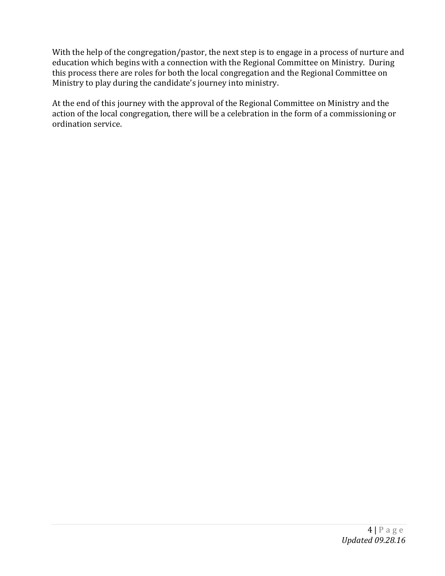With the help of the congregation/pastor, the next step is to engage in a process of nurture and education which begins with a connection with the Regional Committee on Ministry. During this process there are roles for both the local congregation and the Regional Committee on Ministry to play during the candidate's journey into ministry.

At the end of this journey with the approval of the Regional Committee on Ministry and the action of the local congregation, there will be a celebration in the form of a commissioning or ordination service.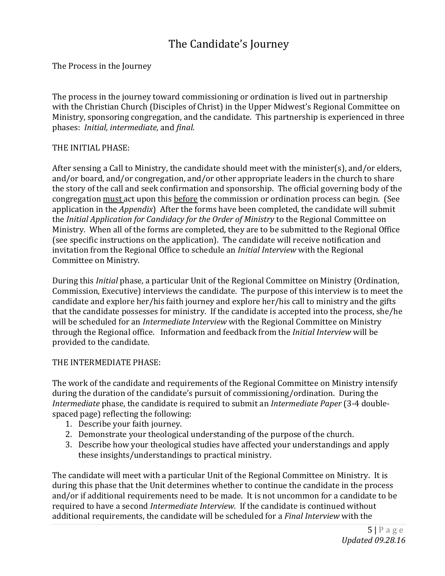## The Candidate's Journey

The Process in the Journey

The process in the journey toward commissioning or ordination is lived out in partnership with the Christian Church (Disciples of Christ) in the Upper Midwest's Regional Committee on Ministry, sponsoring congregation, and the candidate. This partnership is experienced in three phases: *Initial, intermediate,* and *final.*

#### THE INITIAL PHASE:

After sensing a Call to Ministry, the candidate should meet with the minister(s), and/or elders, and/or board, and/or congregation, and/or other appropriate leaders in the church to share the story of the call and seek confirmation and sponsorship. The official governing body of the congregation must act upon this before the commission or ordination process can begin. (See application in the *Appendix*) After the forms have been completed, the candidate will submit the *Initial Application for Candidacy for the Order of Ministry* to the Regional Committee on Ministry. When all of the forms are completed, they are to be submitted to the Regional Office (see specific instructions on the application). The candidate will receive notification and invitation from the Regional Office to schedule an *Initial Interview* with the Regional Committee on Ministry.

During this *Initial* phase, a particular Unit of the Regional Committee on Ministry (Ordination, Commission, Executive) interviews the candidate. The purpose of this interview is to meet the candidate and explore her/his faith journey and explore her/his call to ministry and the gifts that the candidate possesses for ministry. If the candidate is accepted into the process, she/he will be scheduled for an *Intermediate Interview* with the Regional Committee on Ministry through the Regional office. Information and feedback from the *Initial Interview* will be provided to the candidate.

#### THE INTERMEDIATE PHASE:

The work of the candidate and requirements of the Regional Committee on Ministry intensify during the duration of the candidate's pursuit of commissioning/ordination. During the *Intermediate* phase, the candidate is required to submit an *Intermediate Paper* (3-4 doublespaced page) reflecting the following:

- 1. Describe your faith journey.
- 2. Demonstrate your theological understanding of the purpose of the church.
- 3. Describe how your theological studies have affected your understandings and apply these insights/understandings to practical ministry.

The candidate will meet with a particular Unit of the Regional Committee on Ministry. It is during this phase that the Unit determines whether to continue the candidate in the process and/or if additional requirements need to be made. It is not uncommon for a candidate to be required to have a second *Intermediate Interview*. If the candidate is continued without additional requirements, the candidate will be scheduled for a *Final Interview* with the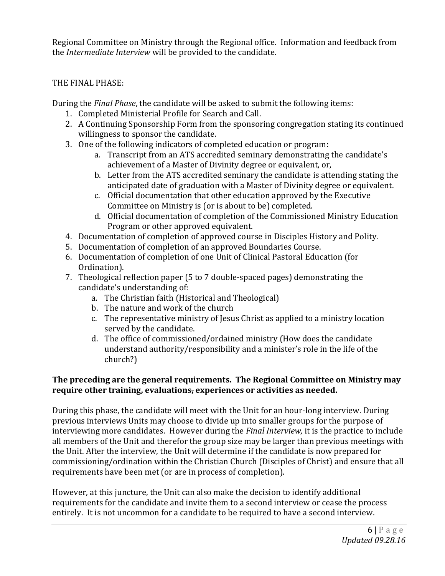Regional Committee on Ministry through the Regional office. Information and feedback from the *Intermediate Interview* will be provided to the candidate.

#### THE FINAL PHASE:

During the *Final Phase*, the candidate will be asked to submit the following items:

- 1. Completed Ministerial Profile for Search and Call.
- 2. A Continuing Sponsorship Form from the sponsoring congregation stating its continued willingness to sponsor the candidate.
- 3. One of the following indicators of completed education or program:
	- a. Transcript from an ATS accredited seminary demonstrating the candidate's achievement of a Master of Divinity degree or equivalent, or,
	- b. Letter from the ATS accredited seminary the candidate is attending stating the anticipated date of graduation with a Master of Divinity degree or equivalent.
	- c. Official documentation that other education approved by the Executive Committee on Ministry is (or is about to be) completed.
	- d. Official documentation of completion of the Commissioned Ministry Education Program or other approved equivalent.
- 4. Documentation of completion of approved course in Disciples History and Polity.
- 5. Documentation of completion of an approved Boundaries Course.
- 6. Documentation of completion of one Unit of Clinical Pastoral Education (for Ordination).
- 7. Theological reflection paper (5 to 7 double-spaced pages) demonstrating the candidate's understanding of:
	- a. The Christian faith (Historical and Theological)
	- b. The nature and work of the church
	- c. The representative ministry of Jesus Christ as applied to a ministry location served by the candidate.
	- d. The office of commissioned/ordained ministry (How does the candidate understand authority/responsibility and a minister's role in the life of the church?)

#### **The preceding are the general requirements. The Regional Committee on Ministry may require other training, evaluations, experiences or activities as needed.**

During this phase, the candidate will meet with the Unit for an hour-long interview. During previous interviews Units may choose to divide up into smaller groups for the purpose of interviewing more candidates. However during the *Final Interview,* it is the practice to include all members of the Unit and therefor the group size may be larger than previous meetings with the Unit. After the interview, the Unit will determine if the candidate is now prepared for commissioning/ordination within the Christian Church (Disciples of Christ) and ensure that all requirements have been met (or are in process of completion).

However, at this juncture, the Unit can also make the decision to identify additional requirements for the candidate and invite them to a second interview or cease the process entirely. It is not uncommon for a candidate to be required to have a second interview.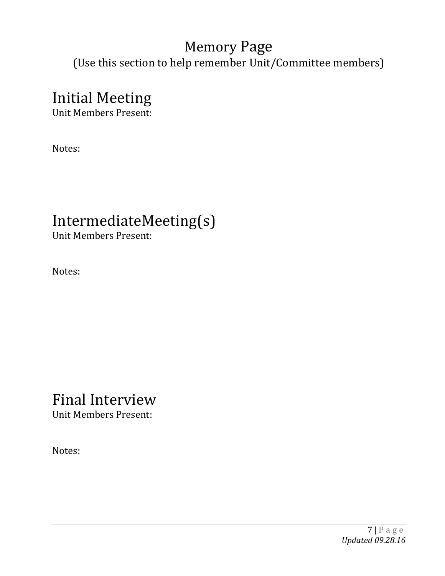# Memory Page

(Use this section to help remember Unit/Committee members)

# Initial Meeting

Unit Members Present:

Notes:

# IntermediateMeeting(s)

Unit Members Present:

Notes:

# Final Interview

Unit Members Present:

Notes: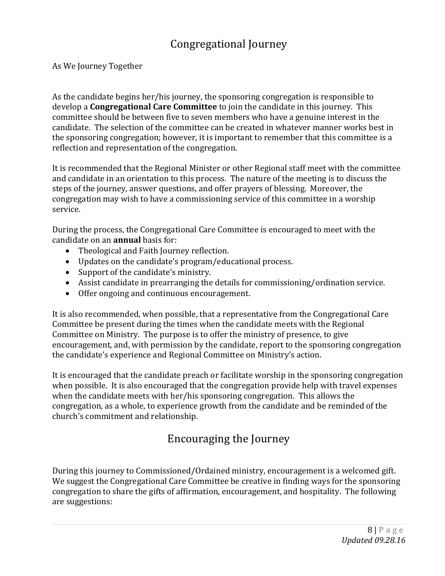# Congregational Journey

As We Journey Together

As the candidate begins her/his journey, the sponsoring congregation is responsible to develop a **Congregational Care Committee** to join the candidate in this journey. This committee should be between five to seven members who have a genuine interest in the candidate. The selection of the committee can be created in whatever manner works best in the sponsoring congregation; however, it is important to remember that this committee is a reflection and representation of the congregation.

It is recommended that the Regional Minister or other Regional staff meet with the committee and candidate in an orientation to this process. The nature of the meeting is to discuss the steps of the journey, answer questions, and offer prayers of blessing. Moreover, the congregation may wish to have a commissioning service of this committee in a worship service.

During the process, the Congregational Care Committee is encouraged to meet with the candidate on an **annual** basis for:

- Theological and Faith Journey reflection.
- Updates on the candidate's program/educational process.
- Support of the candidate's ministry.
- Assist candidate in prearranging the details for commissioning/ordination service.
- Offer ongoing and continuous encouragement.

It is also recommended, when possible, that a representative from the Congregational Care Committee be present during the times when the candidate meets with the Regional Committee on Ministry. The purpose is to offer the ministry of presence, to give encouragement, and, with permission by the candidate, report to the sponsoring congregation the candidate's experience and Regional Committee on Ministry's action.

It is encouraged that the candidate preach or facilitate worship in the sponsoring congregation when possible. It is also encouraged that the congregation provide help with travel expenses when the candidate meets with her/his sponsoring congregation. This allows the congregation, as a whole, to experience growth from the candidate and be reminded of the church's commitment and relationship.

# Encouraging the Journey

During this journey to Commissioned/Ordained ministry, encouragement is a welcomed gift. We suggest the Congregational Care Committee be creative in finding ways for the sponsoring congregation to share the gifts of affirmation, encouragement, and hospitality. The following are suggestions: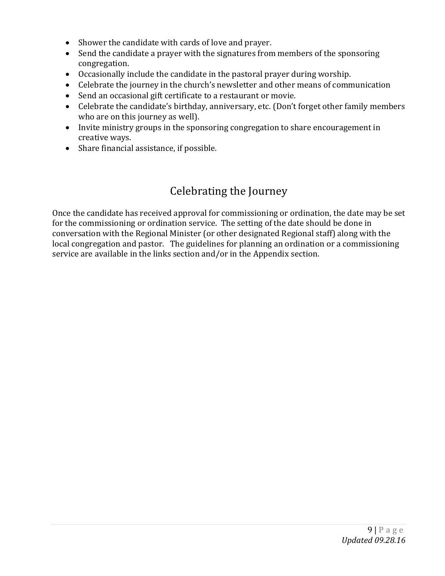- Shower the candidate with cards of love and prayer.
- Send the candidate a prayer with the signatures from members of the sponsoring congregation.
- Occasionally include the candidate in the pastoral prayer during worship.
- Celebrate the journey in the church's newsletter and other means of communication
- Send an occasional gift certificate to a restaurant or movie.
- Celebrate the candidate's birthday, anniversary, etc. (Don't forget other family members who are on this journey as well).
- Invite ministry groups in the sponsoring congregation to share encouragement in creative ways.
- Share financial assistance, if possible.

## Celebrating the Journey

Once the candidate has received approval for commissioning or ordination, the date may be set for the commissioning or ordination service. The setting of the date should be done in conversation with the Regional Minister (or other designated Regional staff) along with the local congregation and pastor. The guidelines for planning an ordination or a commissioning service are available in the links section and/or in the Appendix section.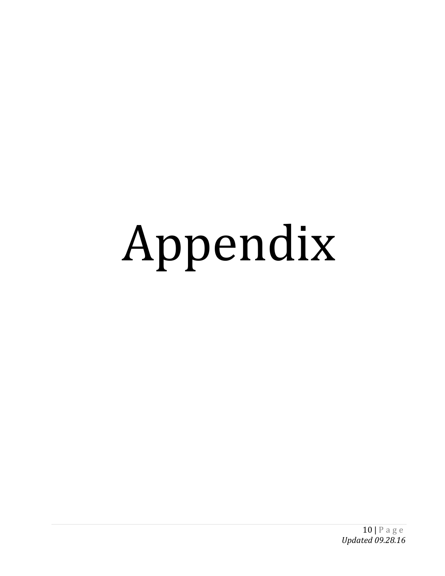# Appendix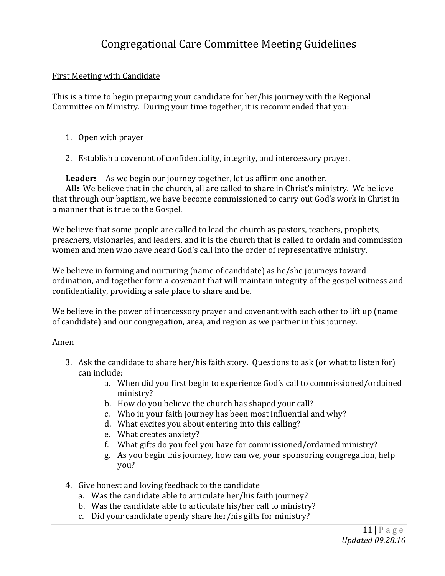## Congregational Care Committee Meeting Guidelines

#### First Meeting with Candidate

This is a time to begin preparing your candidate for her/his journey with the Regional Committee on Ministry. During your time together, it is recommended that you:

- 1. Open with prayer
- 2. Establish a covenant of confidentiality, integrity, and intercessory prayer.

 **Leader:** As we begin our journey together, let us affirm one another.  **All:** We believe that in the church, all are called to share in Christ's ministry. We believe that through our baptism, we have become commissioned to carry out God's work in Christ in a manner that is true to the Gospel.

We believe that some people are called to lead the church as pastors, teachers, prophets, preachers, visionaries, and leaders, and it is the church that is called to ordain and commission women and men who have heard God's call into the order of representative ministry.

We believe in forming and nurturing (name of candidate) as he/she journeys toward ordination, and together form a covenant that will maintain integrity of the gospel witness and confidentiality, providing a safe place to share and be.

We believe in the power of intercessory prayer and covenant with each other to lift up (name of candidate) and our congregation, area, and region as we partner in this journey.

#### Amen

- 3. Ask the candidate to share her/his faith story. Questions to ask (or what to listen for) can include:
	- a. When did you first begin to experience God's call to commissioned/ordained ministry?
	- b. How do you believe the church has shaped your call?
	- c. Who in your faith journey has been most influential and why?
	- d. What excites you about entering into this calling?
	- e. What creates anxiety?
	- f. What gifts do you feel you have for commissioned/ordained ministry?
	- g. As you begin this journey, how can we, your sponsoring congregation, help you?
- 4. Give honest and loving feedback to the candidate
	- a. Was the candidate able to articulate her/his faith journey?
	- b. Was the candidate able to articulate his/her call to ministry?
	- c. Did your candidate openly share her/his gifts for ministry?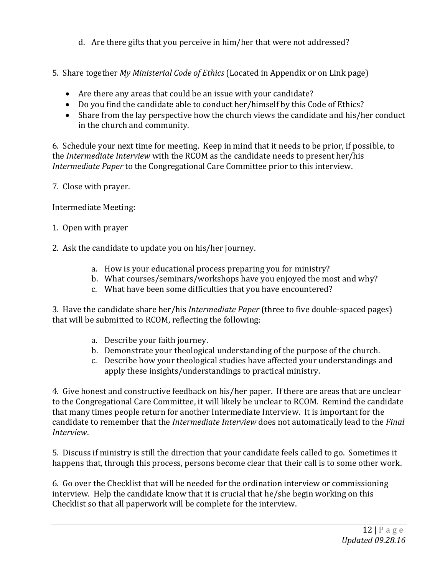- d. Are there gifts that you perceive in him/her that were not addressed?
- 5. Share together *My Ministerial Code of Ethics* (Located in Appendix or on Link page)
	- Are there any areas that could be an issue with your candidate?
	- Do you find the candidate able to conduct her/himself by this Code of Ethics?
	- Share from the lay perspective how the church views the candidate and his/her conduct in the church and community.

6. Schedule your next time for meeting. Keep in mind that it needs to be prior, if possible, to the *Intermediate Interview* with the RCOM as the candidate needs to present her/his *Intermediate Paper* to the Congregational Care Committee prior to this interview.

7. Close with prayer.

#### Intermediate Meeting:

- 1. Open with prayer
- 2. Ask the candidate to update you on his/her journey.
	- a. How is your educational process preparing you for ministry?
	- b. What courses/seminars/workshops have you enjoyed the most and why?
	- c. What have been some difficulties that you have encountered?

3. Have the candidate share her/his *Intermediate Paper* (three to five double-spaced pages) that will be submitted to RCOM, reflecting the following:

- a. Describe your faith journey.
- b. Demonstrate your theological understanding of the purpose of the church.
- c. Describe how your theological studies have affected your understandings and apply these insights/understandings to practical ministry.

4. Give honest and constructive feedback on his/her paper. If there are areas that are unclear to the Congregational Care Committee, it will likely be unclear to RCOM. Remind the candidate that many times people return for another Intermediate Interview. It is important for the candidate to remember that the *Intermediate Interview* does not automatically lead to the *Final Interview*.

5. Discuss if ministry is still the direction that your candidate feels called to go. Sometimes it happens that, through this process, persons become clear that their call is to some other work.

6. Go over the Checklist that will be needed for the ordination interview or commissioning interview. Help the candidate know that it is crucial that he/she begin working on this Checklist so that all paperwork will be complete for the interview.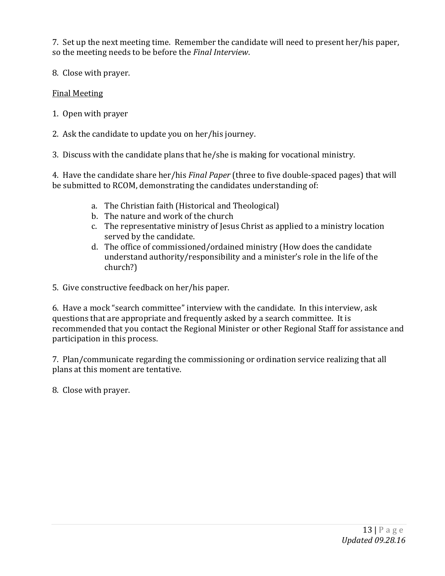7. Set up the next meeting time. Remember the candidate will need to present her/his paper, so the meeting needs to be before the *Final Interview*.

8. Close with prayer.

#### Final Meeting

- 1. Open with prayer
- 2. Ask the candidate to update you on her/his journey.

3. Discuss with the candidate plans that he/she is making for vocational ministry.

4. Have the candidate share her/his *Final Paper* (three to five double-spaced pages) that will be submitted to RCOM, demonstrating the candidates understanding of:

- a. The Christian faith (Historical and Theological)
- b. The nature and work of the church
- c. The representative ministry of Jesus Christ as applied to a ministry location served by the candidate.
- d. The office of commissioned/ordained ministry (How does the candidate understand authority/responsibility and a minister's role in the life of the church?)

5. Give constructive feedback on her/his paper.

6. Have a mock "search committee" interview with the candidate. In this interview, ask questions that are appropriate and frequently asked by a search committee. It is recommended that you contact the Regional Minister or other Regional Staff for assistance and participation in this process.

7. Plan/communicate regarding the commissioning or ordination service realizing that all plans at this moment are tentative.

8. Close with prayer.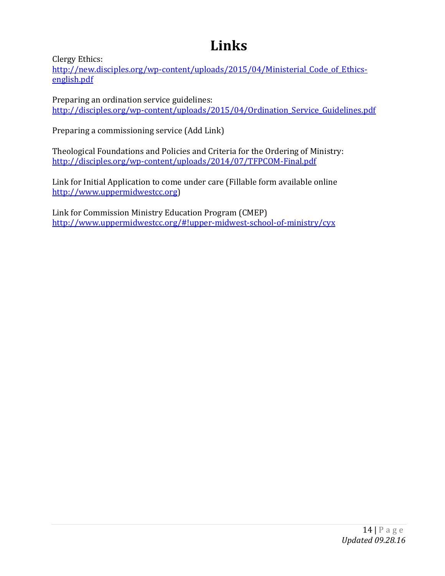# **Links**

Clergy Ethics:

http://new.disciples.org/wp-content/uploads/2015/04/Ministerial Code of Ethics[english.pdf](http://new.disciples.org/wp-content/uploads/2015/04/Ministerial_Code_of_Ethics-english.pdf)

Preparing an ordination service guidelines: http://disciples.org/wp-content/uploads/2015/04/Ordination Service Guidelines.pdf

Preparing a commissioning service (Add Link)

Theological Foundations and Policies and Criteria for the Ordering of Ministry: <http://disciples.org/wp-content/uploads/2014/07/TFPCOM-Final.pdf>

Link for Initial Application to come under care (Fillable form available online [http://www.uppermidwestcc.org\)](http://www.uppermidwestcc.org/)

Link for Commission Ministry Education Program (CMEP) <http://www.uppermidwestcc.org/#!upper-midwest-school-of-ministry/cyx>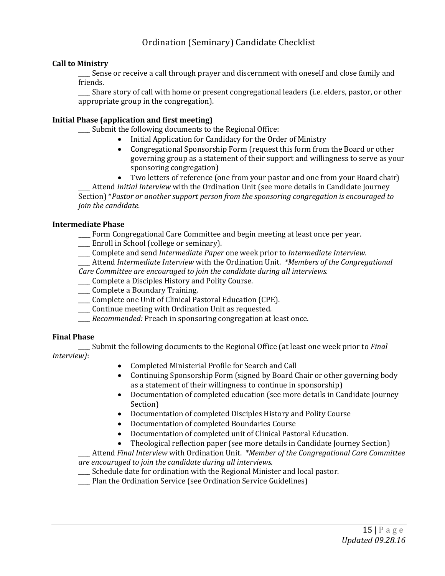#### Ordination (Seminary) Candidate Checklist

#### **Call to Ministry**

Sense or receive a call through prayer and discernment with oneself and close family and friends.

\_\_\_\_ Share story of call with home or present congregational leaders (i.e. elders, pastor, or other appropriate group in the congregation).

#### **Initial Phase (application and first meeting)**

\_\_\_\_ Submit the following documents to the Regional Office:

- Initial Application for Candidacy for the Order of Ministry
- Congregational Sponsorship Form (request this form from the Board or other governing group as a statement of their support and willingness to serve as your sponsoring congregation)
- Two letters of reference (one from your pastor and one from your Board chair)

\_\_\_\_ Attend *Initial Interview* with the Ordination Unit (see more details in Candidate Journey Section) \**Pastor or another support person from the sponsoring congregation is encouraged to join the candidate.*

#### **Intermediate Phase**

- **\_\_\_\_** Form Congregational Care Committee and begin meeting at least once per year.
- \_\_\_\_ Enroll in School (college or seminary).
- \_\_\_\_ Complete and send *Intermediate Paper* one week prior to *Intermediate Interview.*

\_\_\_\_ Attend *Intermediate Interview* with the Ordination Unit. *\*Members of the Congregational Care Committee are encouraged to join the candidate during all interviews.*

- \_\_\_\_ Complete a Disciples History and Polity Course.
- \_\_\_ Complete a Boundary Training.
- \_\_\_\_ Complete one Unit of Clinical Pastoral Education (CPE).
- \_\_\_\_ Continue meeting with Ordination Unit as requested.
- \_\_\_\_ *Recommended:* Preach in sponsoring congregation at least once.

#### **Final Phase**

\_\_\_\_ Submit the following documents to the Regional Office (at least one week prior to *Final Interview)*:

- Completed Ministerial Profile for Search and Call
- Continuing Sponsorship Form (signed by Board Chair or other governing body as a statement of their willingness to continue in sponsorship)
- Documentation of completed education (see more details in Candidate Journey Section)
- Documentation of completed Disciples History and Polity Course
- Documentation of completed Boundaries Course
- Documentation of completed unit of Clinical Pastoral Education.
- Theological reflection paper (see more details in Candidate Journey Section)

\_\_\_\_ Attend *Final Interview* with Ordination Unit. *\*Member of the Congregational Care Committee are encouraged to join the candidate during all interviews.*

\_\_\_\_ Schedule date for ordination with the Regional Minister and local pastor.

\_\_\_\_ Plan the Ordination Service (see Ordination Service Guidelines)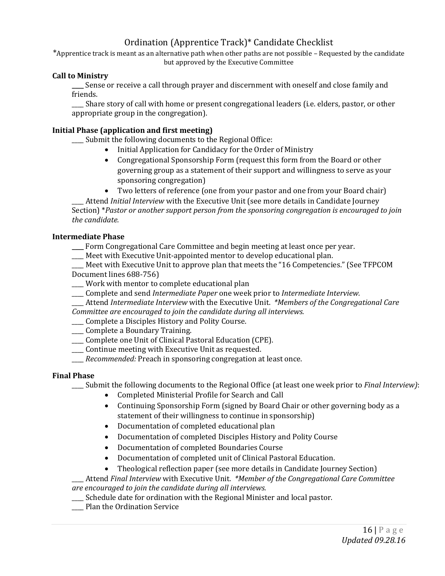## Ordination (Apprentice Track)\* Candidate Checklist

\*Apprentice track is meant as an alternative path when other paths are not possible – Requested by the candidate but approved by the Executive Committee

#### **Call to Ministry**

**\_\_\_\_** Sense or receive a call through prayer and discernment with oneself and close family and friends.

\_\_\_\_ Share story of call with home or present congregational leaders (i.e. elders, pastor, or other appropriate group in the congregation).

#### **Initial Phase (application and first meeting)**

\_\_\_\_ Submit the following documents to the Regional Office:

- Initial Application for Candidacy for the Order of Ministry
- Congregational Sponsorship Form (request this form from the Board or other governing group as a statement of their support and willingness to serve as your sponsoring congregation)
- Two letters of reference (one from your pastor and one from your Board chair)

\_\_\_\_ Attend *Initial Interview* with the Executive Unit (see more details in Candidate Journey Section) \**Pastor or another support person from the sponsoring congregation is encouraged to join the candidate.*

#### **Intermediate Phase**

- **\_\_\_\_** Form Congregational Care Committee and begin meeting at least once per year.
- \_\_\_\_ Meet with Executive Unit-appointed mentor to develop educational plan.

\_\_\_\_ Meet with Executive Unit to approve plan that meets the "16 Competencies." (See TFPCOM Document lines 688-756)

- \_\_\_\_ Work with mentor to complete educational plan
- \_\_\_\_ Complete and send *Intermediate Paper* one week prior to *Intermediate Interview.*
- \_\_\_\_ Attend *Intermediate Interview* with the Executive Unit. *\*Members of the Congregational Care*

*Committee are encouraged to join the candidate during all interviews.*

\_\_\_\_ Complete a Disciples History and Polity Course.

- \_\_\_\_ Complete a Boundary Training.
- \_\_\_\_ Complete one Unit of Clinical Pastoral Education (CPE).
- \_\_\_\_ Continue meeting with Executive Unit as requested.
- \_\_\_\_ *Recommended:* Preach in sponsoring congregation at least once.

#### **Final Phase**

\_\_\_\_ Submit the following documents to the Regional Office (at least one week prior to *Final Interview)*:

- Completed Ministerial Profile for Search and Call
- Continuing Sponsorship Form (signed by Board Chair or other governing body as a statement of their willingness to continue in sponsorship)
- Documentation of completed educational plan
- Documentation of completed Disciples History and Polity Course
- Documentation of completed Boundaries Course
- Documentation of completed unit of Clinical Pastoral Education.
- Theological reflection paper (see more details in Candidate Journey Section)

\_\_\_\_ Attend *Final Interview* with Executive Unit. *\*Member of the Congregational Care Committee are encouraged to join the candidate during all interviews.*

- \_\_\_\_ Schedule date for ordination with the Regional Minister and local pastor.
- \_\_\_\_ Plan the Ordination Service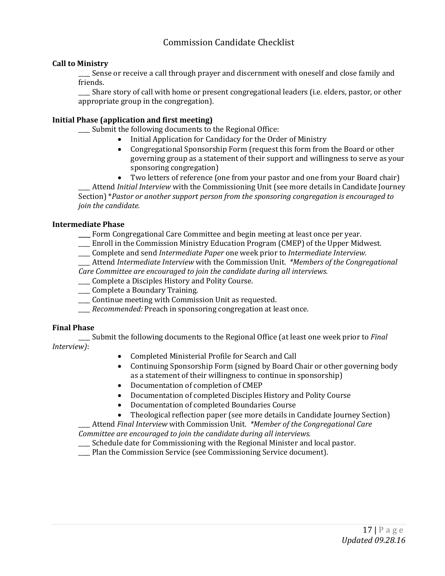#### Commission Candidate Checklist

#### **Call to Ministry**

Sense or receive a call through prayer and discernment with oneself and close family and friends.

\_\_\_\_ Share story of call with home or present congregational leaders (i.e. elders, pastor, or other appropriate group in the congregation).

#### **Initial Phase (application and first meeting)**

\_\_\_\_ Submit the following documents to the Regional Office:

- Initial Application for Candidacy for the Order of Ministry
- Congregational Sponsorship Form (request this form from the Board or other governing group as a statement of their support and willingness to serve as your sponsoring congregation)
- Two letters of reference (one from your pastor and one from your Board chair)

\_\_\_\_ Attend *Initial Interview* with the Commissioning Unit (see more details in Candidate Journey Section) \**Pastor or another support person from the sponsoring congregation is encouraged to join the candidate.*

#### **Intermediate Phase**

**\_\_\_\_** Form Congregational Care Committee and begin meeting at least once per year.

- \_\_\_\_ Enroll in the Commission Ministry Education Program (CMEP) of the Upper Midwest.
- \_\_\_\_ Complete and send *Intermediate Paper* one week prior to *Intermediate Interview.*

\_\_\_\_ Attend *Intermediate Interview* with the Commission Unit. *\*Members of the Congregational Care Committee are encouraged to join the candidate during all interviews.*

- \_\_\_\_ Complete a Disciples History and Polity Course.
- \_\_\_\_ Complete a Boundary Training.
- \_\_\_\_ Continue meeting with Commission Unit as requested.
- \_\_\_\_ *Recommended:* Preach in sponsoring congregation at least once.

#### **Final Phase**

\_\_\_\_ Submit the following documents to the Regional Office (at least one week prior to *Final Interview)*:

- Completed Ministerial Profile for Search and Call
- Continuing Sponsorship Form (signed by Board Chair or other governing body as a statement of their willingness to continue in sponsorship)
- Documentation of completion of CMEP
- Documentation of completed Disciples History and Polity Course
- Documentation of completed Boundaries Course
- Theological reflection paper (see more details in Candidate Journey Section)

\_\_\_\_ Attend *Final Interview* with Commission Unit. *\*Member of the Congregational Care* 

*Committee are encouraged to join the candidate during all interviews.* \_\_\_\_ Schedule date for Commissioning with the Regional Minister and local pastor.

\_\_\_\_ Plan the Commission Service (see Commissioning Service document).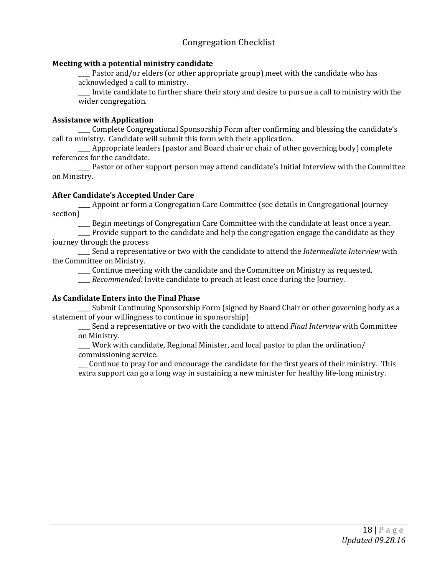#### Congregation Checklist

#### **Meeting with a potential ministry candidate**

\_\_\_\_ Pastor and/or elders (or other appropriate group) meet with the candidate who has acknowledged a call to ministry.

\_\_\_\_ Invite candidate to further share their story and desire to pursue a call to ministry with the wider congregation.

#### **Assistance with Application**

\_\_\_\_ Complete Congregational Sponsorship Form after confirming and blessing the candidate's call to ministry. Candidate will submit this form with their application.

\_\_\_\_ Appropriate leaders (pastor and Board chair or chair of other governing body) complete references for the candidate.

\_\_\_\_ Pastor or other support person may attend candidate's Initial Interview with the Committee on Ministry.

#### **After Candidate's Accepted Under Care**

**\_\_\_\_** Appoint or form a Congregation Care Committee (see details in Congregational Journey section)

\_\_\_\_ Begin meetings of Congregation Care Committee with the candidate at least once a year.

\_\_\_\_ Provide support to the candidate and help the congregation engage the candidate as they journey through the process

\_\_\_\_ Send a representative or two with the candidate to attend the *Intermediate Interview* with the Committee on Ministry.

\_\_\_\_ Continue meeting with the candidate and the Committee on Ministry as requested.

\_\_\_\_ *Recommended:* Invite candidate to preach at least once during the Journey.

#### **As Candidate Enters into the Final Phase**

\_\_\_\_ Submit Continuing Sponsorship Form (signed by Board Chair or other governing body as a statement of your willingness to continue in sponsorship)

\_\_\_\_ Send a representative or two with the candidate to attend *Final Interview* with Committee on Ministry.

\_\_\_\_ Work with candidate, Regional Minister, and local pastor to plan the ordination/ commissioning service.

\_\_\_ Continue to pray for and encourage the candidate for the first years of their ministry. This extra support can go a long way in sustaining a new minister for healthy life-long ministry.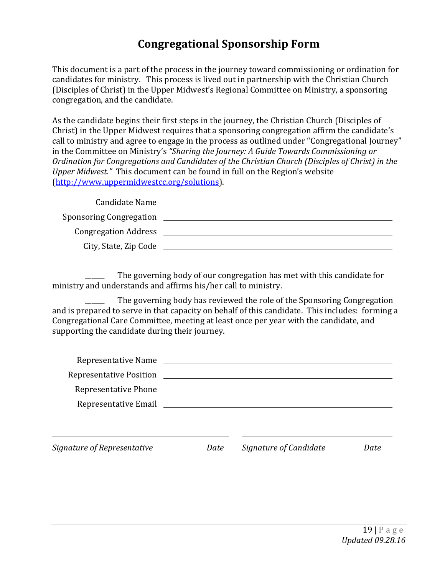## **Congregational Sponsorship Form**

This document is a part of the process in the journey toward commissioning or ordination for candidates for ministry. This process is lived out in partnership with the Christian Church (Disciples of Christ) in the Upper Midwest's Regional Committee on Ministry, a sponsoring congregation, and the candidate.

As the candidate begins their first steps in the journey, the Christian Church (Disciples of Christ) in the Upper Midwest requires that a sponsoring congregation affirm the candidate's call to ministry and agree to engage in the process as outlined under "Congregational Journey" in the Committee on Ministry's *"Sharing the Journey: A Guide Towards Commissioning or Ordination for Congregations and Candidates of the Christian Church (Disciples of Christ) in the Upper Midwest."* This document can be found in full on the Region's website [\(http://www.uppermidwestcc.org/solutions\)](http://www.uppermidwestcc.org/solutions).

| Candidate Name              |  |
|-----------------------------|--|
| Sponsoring Congregation     |  |
| <b>Congregation Address</b> |  |
| City, State, Zip Code       |  |

The governing body of our congregation has met with this candidate for ministry and understands and affirms his/her call to ministry.

The governing body has reviewed the role of the Sponsoring Congregation and is prepared to serve in that capacity on behalf of this candidate. This includes: forming a Congregational Care Committee, meeting at least once per year with the candidate, and supporting the candidate during their journey.

| Signature of Representative | Date | Signature of Candidate | Date |
|-----------------------------|------|------------------------|------|
|                             |      |                        |      |
|                             |      |                        |      |
| Representative Phone        |      |                        |      |
|                             |      |                        |      |
|                             |      |                        |      |
| Representative Name         |      |                        |      |